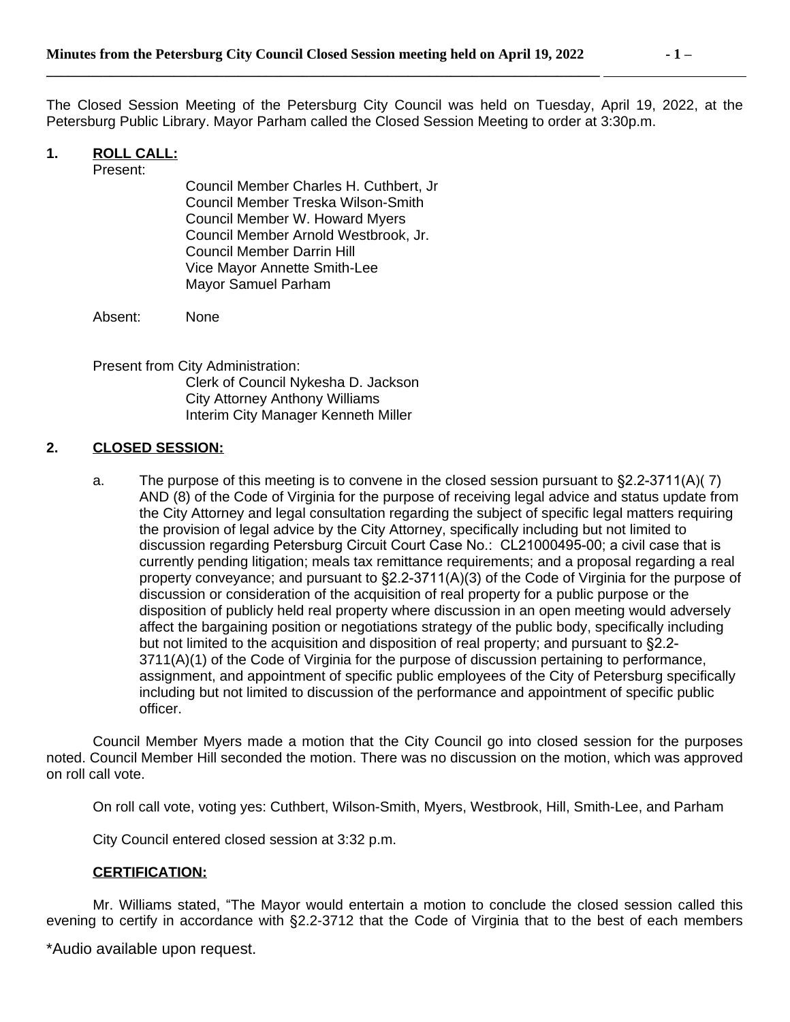**\_\_\_\_\_\_\_\_\_\_\_\_\_\_\_\_\_\_\_\_\_\_\_\_\_\_\_\_\_\_\_\_\_\_\_\_\_\_\_\_\_\_\_\_\_\_\_\_\_\_\_\_\_\_\_\_\_\_\_\_\_\_\_\_\_\_\_\_\_\_\_\_\_\_\_\_\_\_** 

The Closed Session Meeting of the Petersburg City Council was held on Tuesday, April 19, 2022, at the Petersburg Public Library. Mayor Parham called the Closed Session Meeting to order at 3:30p.m.

## **1. ROLL CALL:**

Present:

Council Member Charles H. Cuthbert, Jr Council Member Treska Wilson-Smith Council Member W. Howard Myers Council Member Arnold Westbrook, Jr. Council Member Darrin Hill Vice Mayor Annette Smith-Lee Mayor Samuel Parham

Absent: None

Present from City Administration: Clerk of Council Nykesha D. Jackson City Attorney Anthony Williams Interim City Manager Kenneth Miller

## **2. CLOSED SESSION:**

a. The purpose of this meeting is to convene in the closed session pursuant to §2.2-3711(A)( 7) AND (8) of the Code of Virginia for the purpose of receiving legal advice and status update from the City Attorney and legal consultation regarding the subject of specific legal matters requiring the provision of legal advice by the City Attorney, specifically including but not limited to discussion regarding Petersburg Circuit Court Case No.: CL21000495-00; a civil case that is currently pending litigation; meals tax remittance requirements; and a proposal regarding a real property conveyance; and pursuant to §2.2-3711(A)(3) of the Code of Virginia for the purpose of discussion or consideration of the acquisition of real property for a public purpose or the disposition of publicly held real property where discussion in an open meeting would adversely affect the bargaining position or negotiations strategy of the public body, specifically including but not limited to the acquisition and disposition of real property; and pursuant to §2.2- 3711(A)(1) of the Code of Virginia for the purpose of discussion pertaining to performance, assignment, and appointment of specific public employees of the City of Petersburg specifically including but not limited to discussion of the performance and appointment of specific public officer.

Council Member Myers made a motion that the City Council go into closed session for the purposes noted. Council Member Hill seconded the motion. There was no discussion on the motion, which was approved on roll call vote.

On roll call vote, voting yes: Cuthbert, Wilson-Smith, Myers, Westbrook, Hill, Smith-Lee, and Parham

City Council entered closed session at 3:32 p.m.

#### **CERTIFICATION:**

Mr. Williams stated, "The Mayor would entertain a motion to conclude the closed session called this evening to certify in accordance with §2.2-3712 that the Code of Virginia that to the best of each members

\*Audio available upon request.